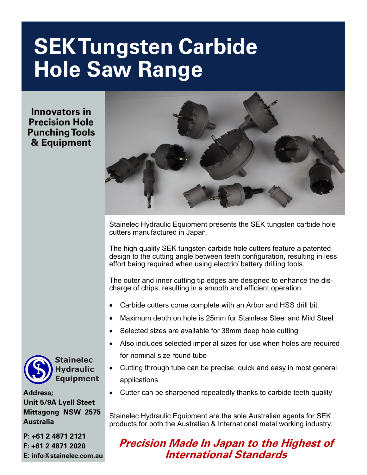# **SEK Tungsten Carbide Hole Saw Range**

**Innovators in Precision Hole Punching Tools & Equipment**



Stainelec Hydraulic Equipment presents the SEK tungsten carbide hole cutters manufactured in Japan.

The high quality SEK tungsten carbide hole cutters feature a patented design to the cutting angle between teeth configuration, resulting in less effort being required when using electric/ battery drilling tools.

The outer and inner cutting tip edges are designed to enhance the discharge of chips, resulting in a smooth and efficient operation.

- Carbide cutters come complete with an Arbor and HSS drill bit
- Maximum depth on hole is 25mm for Stainless Steel and Mild Steel
- Selected sizes are available for 38mm deep hole cutting
- Also includes selected imperial sizes for use when holes are required for nominal size round tube
- Cutting through tube can be precise, quick and easy in most general applications
- Cutter can be sharpened repeatedly thanks to carbide teeth quality

Stainelec Hydraulic Equipment are the sole Australian agents for SEK products for both the Australian & International metal working industry.

### **Precision Made In Japan to the Highest of International Standards**



**Stainelec Hydraulic Equipment** 

**Address; Unit 5/9A Lyell Steet Mittagong NSW 2575 Australia**

**P: +61 2 4871 2121 F: +61 2 4871 2020 E: info@stainelec.com.au**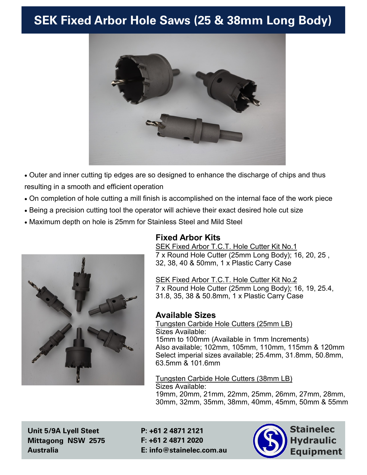## **SEK Fixed Arbor Hole Saws (25 & 38mm Long Body)**



• Outer and inner cutting tip edges are so designed to enhance the discharge of chips and thus resulting in a smooth and efficient operation

- On completion of hole cutting a mill finish is accomplished on the internal face of the work piece
- Being a precision cutting tool the operator will achieve their exact desired hole cut size
- Maximum depth on hole is 25mm for Stainless Steel and Mild Steel



#### **Fixed Arbor Kits**

SEK Fixed Arbor T.C.T. Hole Cutter Kit No.1 7 x Round Hole Cutter (25mm Long Body); 16, 20, 25 , 32, 38, 40 & 50mm, 1 x Plastic Carry Case

SEK Fixed Arbor T.C.T. Hole Cutter Kit No.2 7 x Round Hole Cutter (25mm Long Body); 16, 19, 25.4, 31.8, 35, 38 & 50.8mm, 1 x Plastic Carry Case

#### **Available Sizes**

Tungsten Carbide Hole Cutters (25mm LB) Sizes Available: 15mm to 100mm (Available in 1mm Increments) Also available; 102mm, 105mm, 110mm, 115mm & 120mm Select imperial sizes available; 25.4mm, 31.8mm, 50.8mm, 63.5mm & 101.6mm

Tungsten Carbide Hole Cutters (38mm LB) Sizes Available: 19mm, 20mm, 21mm, 22mm, 25mm, 26mm, 27mm, 28mm, 30mm, 32mm, 35mm, 38mm, 40mm, 45mm, 50mm & 55mm

**Unit 5/9A Lyell Steet Mittagong NSW 2575 Australia**

2 **E: info@stainelec.com.au P: +61 2 4871 2121 F: +61 2 4871 2020**